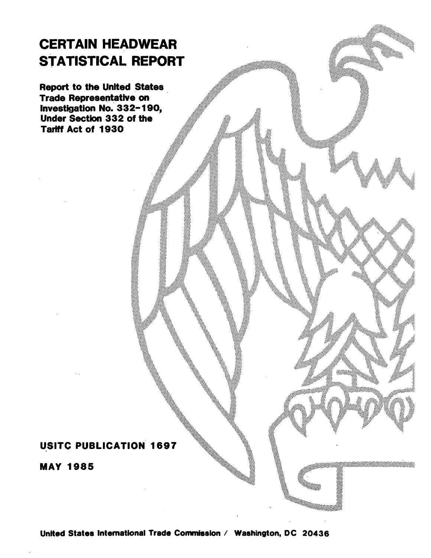# CERTAIN HEADWEAR STATISTICAL REPORT

Report to the United States Trade Representative on Investigation No. 332-190, Under Section 332 of the Tariff Act of 1930·

# USITC PUBLICATION 1697

MAY 1985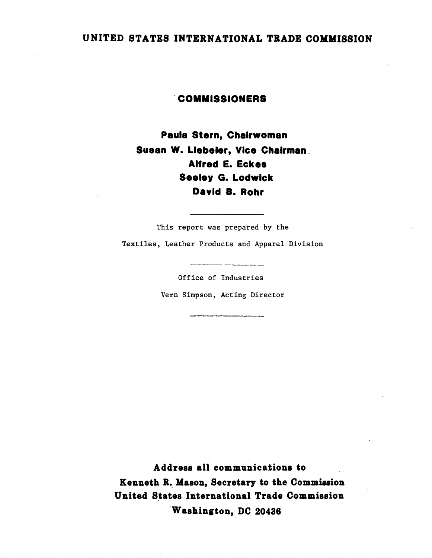# UNITED STATES INTERNATIONAL TRADE COMMISSION

## . COMMISSIONERS

Paula Stern, Chairwoman Susan W. Llebeler, Vice Chairman . . Alfred E. Eckes Seeley G. Lodwick David 8. Rohr

This report was prepared by the Textiles, Leather Products and Apparel Division

Office of Industries

Vern Simpson, Acting Director

Address all communications to Kenneth R. Mason, Secretary to the Commission United States International Trade Commission Washington, DC 20436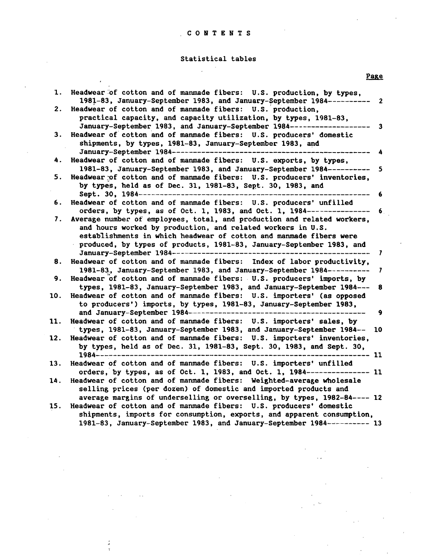### C 0 N T E N T S

### Statistical tables

Page

 $\mathcal{L}$ 

| 1.  | Headwear of cotton and of manmade fibers: U.S. production, by types,<br>1981-83, January-September 1983, and January-September 1984----------<br>$\overline{\mathbf{2}}$ |
|-----|--------------------------------------------------------------------------------------------------------------------------------------------------------------------------|
| 2.  | Headwear of cotton and of manmade fibers: U.S. production,                                                                                                               |
|     | practical capacity, and capacity utilization, by types, 1981-83,                                                                                                         |
|     |                                                                                                                                                                          |
|     | January-September 1983, and January-September 1984---------------<br>$\overline{\mathbf{3}}$                                                                             |
| З.  | Headwear of cotton and of manmade fibers: U.S. producers' domestic                                                                                                       |
|     | shipments, by types, 1981-83, January-September 1983, and                                                                                                                |
|     | January-September 1984-----------------------<br>$\blacktriangle$                                                                                                        |
| 4.  | Headwear of cotton and of manmade fibers: U.S. exports, by types,                                                                                                        |
|     | 1981-83, January-September 1983, and January-September 1984----------<br>$\overline{\mathbf{5}}$                                                                         |
| 5.  | Headwear of cotton and of manmade fibers: U.S. producers' inventories,                                                                                                   |
|     |                                                                                                                                                                          |
|     | by types, held as of Dec. 31, 1981-83, Sept. 30, 1983, and                                                                                                               |
|     | Sept. 30, 1984--------------------------------<br>6                                                                                                                      |
| 6.  | Headwear of cotton and of manmade fibers: U.S. producers' unfilled                                                                                                       |
|     | orders, by types, as of Oct. 1, 1983, and Oct. 1, 1984----------------<br>6 <sub>1</sub>                                                                                 |
| 7.  | Average number of employees, total, and production and related workers,                                                                                                  |
|     | and hours worked by production, and related workers in U.S.                                                                                                              |
|     | establishments in which headwear of cotton and manmade fibers were                                                                                                       |
|     | produced, by types of products, 1981-83, January-September 1983, and                                                                                                     |
|     | $\mathbf{7}$                                                                                                                                                             |
| 8.  | Headwear of cotton and of manmade fibers: Index of labor productivity,                                                                                                   |
|     | 1981-83, January-September 1983, and January-September 1984-----------<br>$\overline{\mathbf{z}}$                                                                        |
|     | Headwear of cotton and of manmade fibers: U.S. producers' imports, by                                                                                                    |
| 9.  |                                                                                                                                                                          |
|     | types, 1981-83, January-September 1983, and January-September 1984---<br>8                                                                                               |
| 10. | Headwear of cotton and of manmade fibers: U.S. importers' (as opposed                                                                                                    |
|     | to producers') imports, by types, 1981-83, January-September 1983,                                                                                                       |
|     | and January-September 1984------------------------<br>9                                                                                                                  |
| 11. | Headwear of cotton and of manmade fibers: U.S. importers' sales, by                                                                                                      |
|     | types, 1981-83, January-September 1983, and January-September 1984--<br>10                                                                                               |
| 12. | Headwear of cotton and of manmade fibers: U.S. importers' inventories,                                                                                                   |
|     | by types, held as of Dec. 31, 1981-83, Sept. 30, 1983, and Sept. 30,                                                                                                     |
|     | -------------------<br>1984-------------------<br>-- 11                                                                                                                  |
| 13. | Headwear of cotton and of manmade fibers: U.S. importers' unfilled                                                                                                       |
|     | orders, by types, as of Oct. 1, 1983, and Oct. 1, 1984---------------- 11                                                                                                |
|     |                                                                                                                                                                          |
| 14. | Headwear of cotton and of manmade fibers: Weighted-average wholesale                                                                                                     |
|     | selling prices (per dozen) of domestic and imported products and                                                                                                         |
|     | average margins of underselling or overselling, by types, 1982-84---- 12                                                                                                 |
| 15. | Headwear of cotton and of manmade fibers: U.S. producers' domestic                                                                                                       |
|     | shipments, imports for consumption, exports, and apparent consumption,                                                                                                   |
|     | 1981-83, January-September 1983, and January-September 1984---------- 13                                                                                                 |
|     |                                                                                                                                                                          |

 $\mathbb{I}$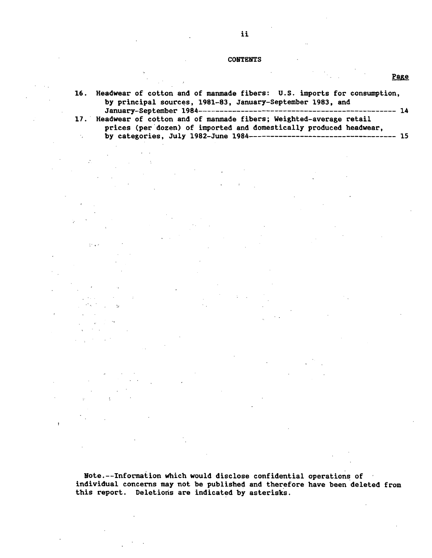#### **CONTENTS**

| 16. Headwear of cotton and of manmade fibers: U.S. imports for consumption, |
|-----------------------------------------------------------------------------|
| by principal sources, 1981-83, January-September 1983, and                  |
|                                                                             |
| 17. Headwear of cotton and of manmade fibers; Weighted-average retail       |
| prices (per dozen) of imported and domestically produced headwear,          |
|                                                                             |

 $\mathbb{R}^2 \times \mathbb{R}^2$ 

 $\overline{\phantom{a}}$ 

,· ...

 $\pmb{\cdot}$ 

 $\mathcal{N}_{\mathcal{A}}$ 

Note.--Information Which would disclose confidential operations of individual concerns may not be published and therefore have been deleted from this report. Deletions are indicated by asterisks.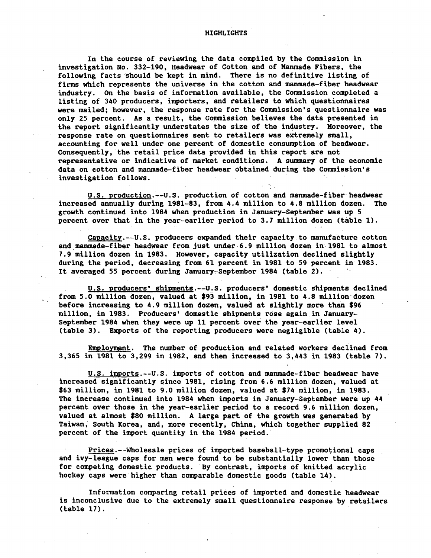In the course of reviewing the data compiled by the Commission in investigation No. 332-190, Headwear of Cotton and of Kanmade Fibers, the following facts should be kept in mind. There is no definitive listing of firms which represents the universe in the cotton and manmade-fiber headwear industry. On the basis of information available, the Commission completed a listing of 340 producers, importers, and retailers to Which questionnaires were mailed; however, the' response rate for the Commission's questionnaire was only 25 percent. As a result, the Commission believes the data presented in the report significantly understates the size of the industry. Moreover, the response rate on questionnaires sent to retailers was extremely small, accounting for well under one percent of domestic consumption of headwear. Consequently, the retail price data provided in this report are not representative or indicative of market conditions. A summary of the economic data on cotton and manmade-fiber headwear obtained during the Commission's investigation follows.

U.S. production.--U.S. production of cotton and manmade-fiber headwear increased annually during 1981-83, from 4.4 million to 4.8 million dozen. The growth continued into 1984 when production in January-September was up 5 percent over that in the year-earlier period to 3.7 million dozen (table 1).

Capacity.--U.S. producers expanded their capacity to manufacture cotton and manmade-fiber headwear from just under 6.9 million dozen in 1981 to almost 7.9 million dozen in 1983. However, capacity utilization declined slightly during the period, decreasing from 61 percent in 1981 to 59 percent in 1983. It averaged 55 percent during January-September 1984 (table 2).

U.S. producers' shipments. -- U.S. producers' domestic shipments declined from 5.0 million dozen, valued at \$93 million, in 1981 to 4.8 million· dozen before increasing to 4.9 million dozen, valued at slightly more than \$96 million, in 1983. Producers' domestic shipments rose againin January-September 1984 when they were up 11 percent over the year-earlier level (table 3). Exports of the reporting producers were negligible (table 4).

Employment. The number of production and related workers declined from 3,365 in 1981 to 3,299 in 1982, and then increased to 3,443 in 1983 (table 7).

U.S. imports.--U.S. imports of cotton and manmade-fiber headwear have increased significantly since 1981, rising from 6.6 million dozen, valued at \$63 million, in 1981 to 9.0 million dozen, valued at \$74 million, in 1983. The increase continued into 1984 when imports in January-September were up 44 percent over those in the year-earlier period to a record 9.6 million dozen, valued at almost \$80 million. A large part of the growth was generated by Taiwan, South Korea, and, more recently, China, Which together supplied 82 percent of the import quantity in the 1984 period.

Prices.--Wholesale prices of imported baseball-type promotional caps and ivy-league caps for men were found to be substantially lower than those for competing domestic products. By contrast, imports of knitted acrylic hockey caps were higher than comparable domestic goods (table 14).

Information comparing retail prices of imported and domestic headwear is inconclusive due to the extremely small questionnaire response by retailers (table 17).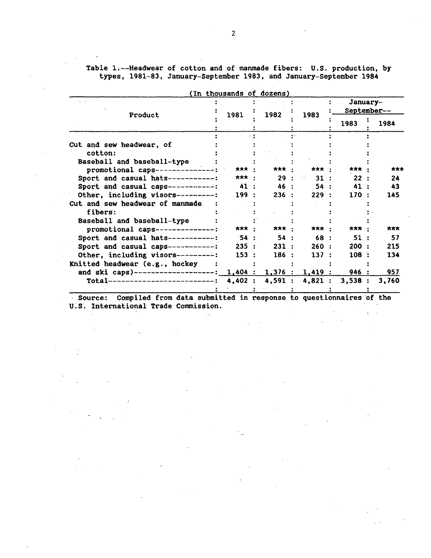Table l;--Headwear of cotton and of manmade fibers: U.S. production, by types, 1981-83, January-September 1983, and January-September 1984

| Product                                                         | 1981    | 1982   | 1983   | January-<br>September-- |       |  |
|-----------------------------------------------------------------|---------|--------|--------|-------------------------|-------|--|
|                                                                 |         |        |        | 1983                    | 1984  |  |
|                                                                 |         |        |        |                         |       |  |
| Cut and sew headwear, of                                        |         |        |        |                         |       |  |
| cotton:                                                         |         |        |        |                         |       |  |
| Baseball and baseball-type                                      |         |        |        |                         |       |  |
| promotional caps---------------:                                | 大大大     | ***    | ***    | $***$                   | ***   |  |
| Sport and casual hats-----------:                               | ***     | 29     | 31:    | 22:                     | 24    |  |
| Sport and casual caps------------:                              | 41      | 46 :   | 54:    | 41                      | 43    |  |
| Other, including visors---------:                               | $-199:$ | 236:   | 229:   | 170:                    | 145   |  |
| Cut and sew headwear of manmade                                 |         |        |        |                         |       |  |
| fibers:                                                         |         |        |        |                         |       |  |
| Baseball and baseball-type                                      |         |        |        |                         |       |  |
| promotional caps--------------:                                 | ***     | *** *  | *** :  | ***                     | ***   |  |
| Sport and casual hats-----------:                               | 54:     | 54:    | 68 :   | 51:                     | 57    |  |
| Sport and casual caps-----------:                               | 235:    | 231:   | 260:   | 200:                    | 215   |  |
| Other, including visors---------:                               | 153:    | 186:   | 137:   | 108                     | 134   |  |
| Knitted headwear (e.g., hockey                                  |         |        |        |                         |       |  |
| and ski caps)-------------------: 1,404 : 1,376 : 1,419 : 946 : |         |        |        |                         | 957   |  |
| Total---------------------------:                               | 4,402:  | 4,591: | 4,821: | 3,538:                  | 3,760 |  |
|                                                                 |         |        |        |                         |       |  |

(In thousands of dozens)

Source: Compiled from data submitted in response to questionnaires of the U.S. International Trade Commission.

 $\gamma_{14}$ 

 $\mathcal{L}^{\text{max}}_{\text{max}}$  and  $\mathcal{L}^{\text{max}}_{\text{max}}$ 

 $\mathbf{r}$ 

 $\mathcal{L}^{\text{max}}(\mathcal{L})$ 

 $\Delta \sim 10^4$ 

 $\mathcal{A}$ 

 $\sim 10^{-11}$ 

 $\Delta \sim 10^4$ 

 $\sim 10^{-11}$ 

 $\sim$  $\sim$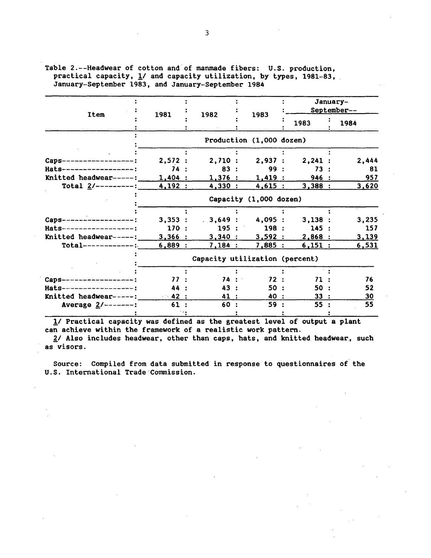| <b>Item</b>              | 1981        | 1982                           |                          |        | January-<br>September-- |
|--------------------------|-------------|--------------------------------|--------------------------|--------|-------------------------|
|                          |             |                                | 1983                     | 1983   | 1984                    |
|                          |             |                                | Production (1,000 dozen) |        |                         |
|                          |             |                                |                          |        |                         |
| Caps------------------   | 2,572:      |                                | 2,710:2,937:             | 2,241: | 2,444                   |
| Hats------------------:  | 74:         | 83:                            | 99 :                     | 73:    | 81                      |
| Knitted headwear-----:   | 1,404:      | 1,376:                         | 1,419:                   | 946 :  | 957                     |
| Total $2$ /---------:    | 4,192:      | 4,330:                         | 4,615:                   | 3,388: | 3,620                   |
|                          |             |                                | Capacity (1,000 dozen)   |        |                         |
|                          |             |                                |                          |        |                         |
| Caps-------------------: | 3,353:      | 3,649:4,095:                   |                          | 3,138: | 3,235                   |
| Hats-------------------  | 170:        | 195:                           | 198:                     | 145:   | 157                     |
| Knitted headwear-----:   | 3,366:      | 3,340:                         | 3,592:                   | 2,868: | 3,139                   |
| $Total-----$             | 6,889:      | 7,184:                         | 7,885:                   | 6,151: | 6,531                   |
|                          |             | Capacity utilization (percent) |                          |        |                         |
|                          |             |                                |                          |        |                         |
| Caps-<br>--------------- | 77:         | 74:                            | 72:                      | 71     | 76                      |
| Hats------------------:  | 44          | 43 :                           | 50:                      | 50.    | 52                      |
| Knitted headwear-----:   | $\sim$ 42 : | 41 :                           | 40 :                     | 33:    | 30                      |
| Average $2/$ -------:    | 61:         | 60:                            | 59                       | 55     | 55                      |
|                          |             |                                |                          |        |                         |

Table 2.--Headwear of cotton and of manmade fibers: U.S. production, practical capacity, 1/ and capacity utilization, by types, 1981-83, January-September 1983, and January-September 1984

*11* Practical capacity was defined as the greatest level of output a plant can achieve within the framework of a realistic work pattern.

2/ Also includes headwear, other than caps, hats, and knitted headwear, such as visors.

Source: Compiled from data submitted in response to questionnaires of the U.S. International Trade Commission.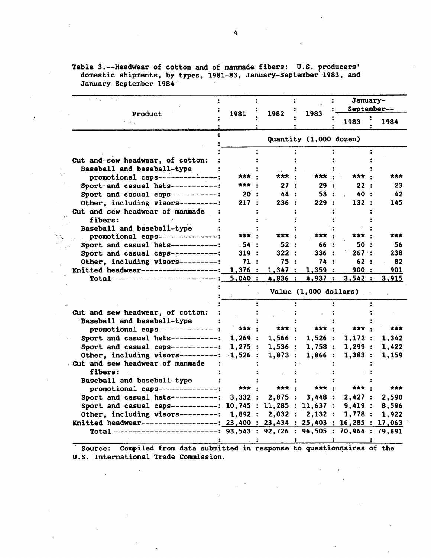Table 3.--Headwear of cotton and of manmade fibers: U.S. producers' domestic shipments, by types, 1981–83, January-September 1983, and January-September 1984  $\sim$ 

 $\mathcal{I}$ 

 $\mathcal{L}_{\mathcal{L}}$ 

|                                                                                |              |              |                        | January-     | September-- |  |
|--------------------------------------------------------------------------------|--------------|--------------|------------------------|--------------|-------------|--|
| Product                                                                        | 1981         | 1982         | 1983                   | 1983         | 1984        |  |
|                                                                                |              |              | Quantity (1,000 dozen) |              |             |  |
|                                                                                |              |              |                        |              |             |  |
| Cut and sew headwear, of cotton:                                               |              |              |                        |              |             |  |
| Baseball and baseball-type                                                     |              |              |                        |              |             |  |
| promotional caps---------------:                                               | <b>大大大</b> · | <b>*** ·</b> | ***                    | <b>***</b> : | ***         |  |
| Sport and casual hats-----------:                                              | <b>***</b> : | 27:          | 29:                    | 22:          | 23          |  |
| Sport and casual caps-----------:                                              | 20:          | 44 :         | 53:                    | 40 :         | 42          |  |
| Other, including visors----------:                                             | 217:         | 236:         | 229:                   | 132 :        | 145         |  |
| Cut and sew headwear of manmade                                                |              |              |                        |              |             |  |
| fibers:                                                                        |              |              |                        |              |             |  |
| Baseball and baseball-type                                                     |              |              |                        |              |             |  |
| promotional caps---------------:                                               | <b>大大大</b> · | *** :        | <b>***</b>             | 大大大          | ***         |  |
| Sport and casual hats------------:                                             | .54 :        | 52:          | 66 :                   | 50 :         | 56          |  |
| Sport and casual caps-----------:                                              | 319:         | 322:         | 336:                   | 267:         | 238         |  |
| Other, including visors----------:                                             | 71:          | 75 :         | 74 :                   | 62:          | 82          |  |
| Knitted headwear--------------------:                                          | 1,376:       | 1,347:       | 1,359:                 | 900:         | 901         |  |
| Total-----------------------                                                   | 5,040:       | 4,836:       | 4,937:                 | 3,542:       | 3,915       |  |
|                                                                                |              |              | Value (1,000 dollars)  |              |             |  |
|                                                                                |              |              |                        |              |             |  |
| Cut and sew headwear, of cotton:                                               |              |              |                        |              |             |  |
| Baseball and baseball-type                                                     |              |              |                        |              |             |  |
| promotional caps----------------:                                              | 大大大          | <b>***</b> : | <b>***</b>             | ***          | ***         |  |
| Sport and casual hats-----------:                                              | 1,269:       | 1,566:       | 1,526:                 | 1,172:       | 1,342       |  |
| Sport and casual caps-----------:                                              | 1,275:       | 1,536:       | 1,758:                 | 1,299:       | 1,422       |  |
| Other, including visors---------: 1,526 :                                      |              | 1,873:       | 1,866:                 | 1,383:       | 1,159       |  |
| Cut and sew headwear of manmade<br>fibers:                                     |              |              |                        |              |             |  |
| Baseball and baseball-type                                                     |              |              |                        |              |             |  |
| promotional caps--------------:                                                | ***          | *** :        | <b>***</b> :           | ***          | ***         |  |
| Sport and casual hats-----------:                                              | 3,332:       | 2,875:       | 3,448:                 | 2,427:       | 2,590       |  |
| Sport and casual caps-----------: 10,745 : 11,285 : 11,637 :                   |              |              |                        | 9,419:       | 8,596       |  |
| Other, including visors---------: $1,892: 2,032: 2,132:$                       |              |              |                        | 1,778:       | 1,922       |  |
| Knitted headwear------------------: 23,400 : 23,434 : 25,403 : 16,285 : 17,063 |              |              |                        |              |             |  |
|                                                                                |              |              |                        |              |             |  |
| Total--------------------------: 93,543 : 92,726 : 96,505 : 70,964 : 79,691    |              |              |                        |              |             |  |

Source: Compiled from data submitted in response to questionnaires of the U.S. International Trade Commission.

 $\Delta$ 

 $\overline{\phantom{a}}$ 

 $\ddot{\phantom{a}}$ 

 $\bar{\mathcal{A}}$ 

 $\mathcal{L}_{\mathcal{L}}$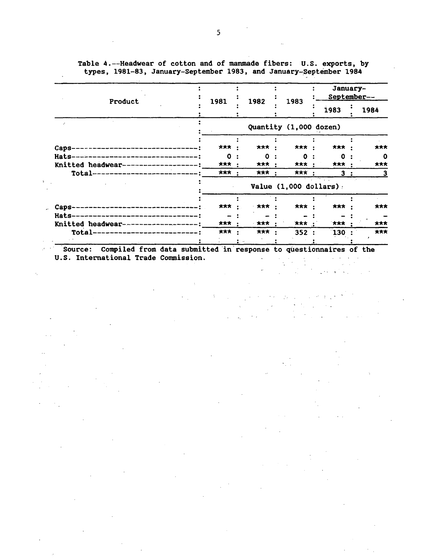| Product                              | 1981 | 1982       |  |                          | 1983         | January-<br>September-- |      |  |
|--------------------------------------|------|------------|--|--------------------------|--------------|-------------------------|------|--|
|                                      |      |            |  |                          | 1983         |                         | 1984 |  |
|                                      |      |            |  | Quantity (1,000 dozen)   |              |                         |      |  |
|                                      |      |            |  |                          |              |                         |      |  |
| Caps-                                | ***  | <b>***</b> |  | <b>***</b> :             | ***          |                         | ***  |  |
| Hats-------------------------------- | Ω    | $\Omega$   |  | <sup>0</sup>             | o            |                         | 0    |  |
| Knitted headwear----------------     | ***  | *** :      |  | *** :                    | *** :        |                         | ***  |  |
| Total----------------------------:   | ***  | <b>***</b> |  | *** :                    | $\mathbf{3}$ |                         | 3    |  |
|                                      |      |            |  | Value $(1,000$ dollars): |              |                         |      |  |
|                                      |      |            |  |                          |              |                         |      |  |
| <b>Caps</b>                          | ***  | 大大大        |  | *** :                    | ***          |                         | ***  |  |
| Hats-                                |      |            |  |                          |              |                         |      |  |
| Knitted headwear--                   | ***  | 大大大        |  | *** :                    | 大大大          |                         | ***  |  |
| Total-<br>______________________     | ***  | ***        |  | 352:                     | $130^\circ$  |                         | ***  |  |
| $\sim$ $^{\circ}$                    |      |            |  |                          |              |                         |      |  |

Table 4.--Headwear of cotton and of manmade fibers: U.S. exports, by types, 1981-83, January-September 1983, and January-September 1984

Source: Compiled from data submitted in response to questionnaires of the U.S. International Trade Commission. U.S. International Trade Commission.  $\Delta \sim 10^{11}$  km s  $^{-1}$  km  $\sim$ 

 $\ddot{\cdot}$ 

√.

 $\mathcal{L}^{\text{max}}$ 

 $\sim$   $\sim$ 

 $\mathbb{R}^{2}$  .

 $\sim$   $\sim$ 

 $\mathbb{R}^{d-1}$  .  $\mathbb{R}^{d}$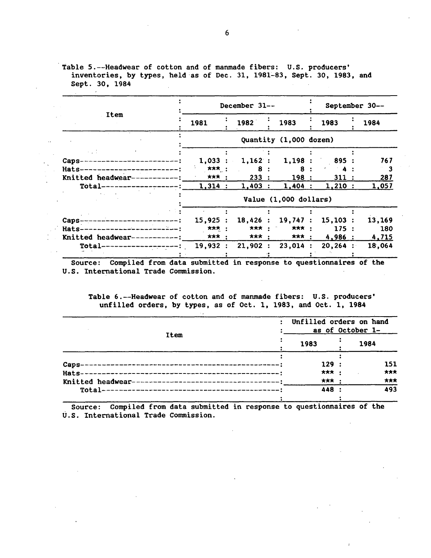Table 5.--Headwear of cotton and of manmade fibers: U.S. producers' inventories, by types, held·as of Dec. 31, 1981~83, Sept. 30, 1983, and Sept. 30, 1984

|                                   |                     | December 31--          |                       |             | September 30-- |
|-----------------------------------|---------------------|------------------------|-----------------------|-------------|----------------|
| Item                              | 1981                | 1982                   | 1983                  | 1984        |                |
|                                   |                     | Quantity (1,000 dozen) |                       |             |                |
| 1.11                              |                     |                        |                       |             |                |
| Caps--------------                | $1,033$ :           | 1,162:                 |                       | 1,198: 895: | 767            |
| Hats-------------------------:    | <b>***</b> :        | -8                     | 8 :                   |             |                |
| Knitted headwear-----------:      | <b>***</b> :        | 233:                   | 198:                  | 311:        | 287            |
| $Total---- 1,314:$                |                     | 1,403:                 | $1,404$ :             | 1,210:      | <u>1,057</u>   |
|                                   |                     |                        | Value (1,000 dollars) |             |                |
|                                   |                     |                        |                       |             |                |
| Caps-------------------------:    | 15,925:             | 18,426 : 19,747 :      |                       | 15,103:     | 13,169         |
| Hats------------------------      | $\star\star\star$ : | <b>***</b> :           | <b>***</b> :          | 175:        | 180            |
| Knitted headwear-----------:      | <b>***</b> :        | *** :                  | <b>***</b> :          | 4,986:      | 4,715          |
| $Total-----$ -------------------: | 19,932:             | 21,902 : 23,014 :      |                       | $20,264$ :  | 18,064         |
|                                   |                     |                        |                       |             |                |

Source: Compiled from data submitted in response to questionnaires of the U.S. International Trade Commission.

 $\mathcal{L}_{\mathcal{A}}$ 

Table 6.--Headwear of cotton and of manmade fibers: U.S. producers' unfilled orders, by types, as of Oct. 1, 1983, and Oct. 1, 1984

| Item | Unfilled orders on hand<br>as of October 1- |      |  |  |  |  |  |
|------|---------------------------------------------|------|--|--|--|--|--|
|      | 1983                                        | 1984 |  |  |  |  |  |
|      | 129                                         | 151  |  |  |  |  |  |
|      | ***                                         | ***  |  |  |  |  |  |
|      | ***                                         | 大大大  |  |  |  |  |  |
|      | 448                                         | 493  |  |  |  |  |  |

Source: Compiled from data submitted in response to questionnaires of the U.S. International Trade Commission.

6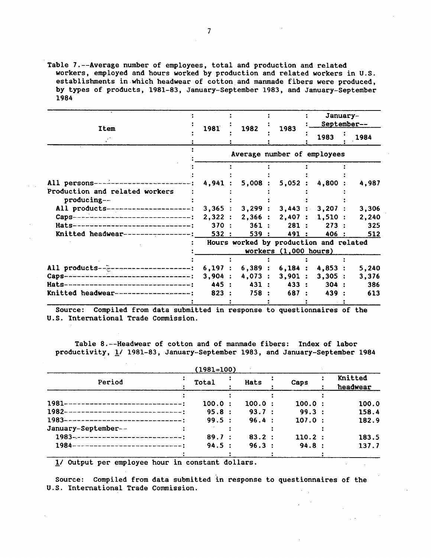Table 7.--Average number of employees, total and production and related workers, employed and hours worked by production and related workers in U.S. establishments in which headwear of cotton and manmade fibers were produced, by types of products, 1981-83, January-September 1983, and January-September 1984

|                                           | 1981   | 1982                                   | 1983                  | January-        | September-- |
|-------------------------------------------|--------|----------------------------------------|-----------------------|-----------------|-------------|
| Item                                      |        |                                        |                       | 1983            | 1984        |
|                                           |        | Average number of employees            |                       |                 |             |
|                                           |        |                                        |                       |                 |             |
|                                           |        |                                        |                       |                 |             |
| All persons---------                      | 4,941  | 5,008:                                 | 5,052:                | 4,800           | 4,987       |
| Production and related workers            |        |                                        |                       |                 |             |
| producing--                               |        |                                        |                       |                 |             |
| All products----------------------        | 3,365: | 3,299:                                 |                       | 3,443 : 3,207 : | 3,306       |
| Caps-------------------------------       | 2,322: | 2,366:                                 |                       | 2,407: 1,510:   | 2,240       |
| Hats---------------------------------     | 370:   | 361:                                   | 281:                  | 273:            | 325         |
| Knitted headwear---------------           | 532:   | 539 :                                  | 491 :                 | 406 :           | 512         |
|                                           |        | Hours worked by production and related |                       |                 |             |
|                                           |        |                                        | workers (1,000 hours) |                 |             |
|                                           |        |                                        |                       |                 |             |
| All products-- $e$ ---------------------: | 6,197: | 6,389:                                 | 6,184:                | 4,853:          | 5,240       |
| $Caps-$                                   | 3,904: | $4,073$ :                              | 3,901:                | $3,305$ :       | 3,376       |
| Hats-------------<br>-----------------'   | 445 :  | 431 :                                  | 433 :                 | 304:            | 386         |
| Knitted headwear-<br>-------------------  | 823:   | 758 :                                  | 687:                  | 439 :           | 613         |
|                                           |        |                                        |                       |                 |             |

Source: Compiled from data submitted in response to questionnaires of the U.S. International Trade Commission.

Table 8.--Headwear of cotton and of manmade fibers: Index of labor productivity, *11* 1981-83, January-September 1983, and January-September 1984

|                                           | $(1981=100)$ |        |        |                     |
|-------------------------------------------|--------------|--------|--------|---------------------|
| Period                                    | Total        | Hats   | Caps   | Knitted<br>headwear |
|                                           |              |        |        |                     |
| 1981--------------------------------      | 100.0:       | 100.0: | 100.0: | 100.0               |
| 1982------------------------------;       | 95.8:        | 93.7 : | 99.3:  | 158.4               |
| 1983-<br>-------------------------------- | 99.5:        | 96.4 : | 107.0: | 182.9               |
| January-September--                       |              |        |        |                     |
| 1983-------------------------------       | 89.7:        | 83.2:  | 110.2: | 183.5               |
| 1984------------------------------        | 94.5:        | 96.3:  | 94.8:  | 137.7               |
|                                           |              |        |        |                     |

*11* output per employee hour in constant dollars.

Source: Compiled from data submitted in response to questionnaires of the U.S. International Trade Commission.  $\sim$  $\mathcal{L}$ 

 $\mathbb{Z}^{\times}$  .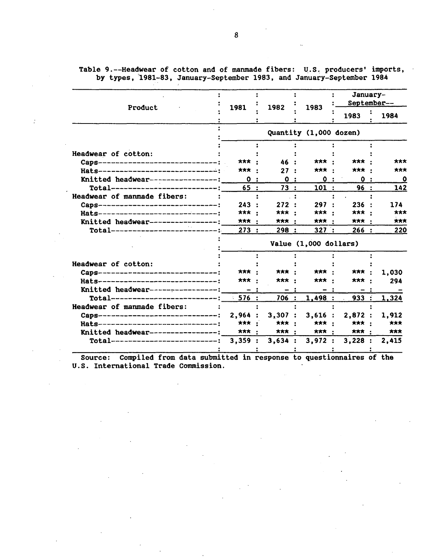Table 9.--Headwear of cotton and of manmade fibers: U.S. producers' imports, by types, 1981-83, January-September 1983, and January-September 1984

| Product                                 | 1981         | 1982           | 1983                   |  | January-<br>September-- |  |             |  |
|-----------------------------------------|--------------|----------------|------------------------|--|-------------------------|--|-------------|--|
|                                         |              |                |                        |  | 1983                    |  | 1984        |  |
|                                         |              |                | Quantity (1,000 dozen) |  |                         |  |             |  |
| Headwear of cotton:                     |              |                |                        |  |                         |  |             |  |
| Caps----------------------------------- | 大大大          | 46 :           | ***                    |  | ***                     |  | ***         |  |
| Hats----------------------------------  | ***          | 27:            | ***                    |  | *** :                   |  | ***         |  |
| Knitted headwear-----------------:      | 0:           | $\mathbf{0}$ : | 0:                     |  | 0:                      |  | $\mathbf 0$ |  |
| Total----------------------------       | 65:          | 73:            | 101:                   |  | 96:                     |  | 142         |  |
| Headwear of manmade fibers:             |              |                |                        |  |                         |  |             |  |
| Caps-------------------------------     | 243:         | 272:           | 297:                   |  | 236:                    |  | 174         |  |
| Hats------------------------------      | ***          | ***            | *** :                  |  | *** :                   |  | ***         |  |
| Knitted headwear-----------------:      | ***          | ***            | *** :                  |  | 大大大                     |  | ***         |  |
| Total------------------------------     | 273:         | 298:           | 327:                   |  | 266:                    |  | 220         |  |
|                                         |              |                | Value (1,000 dollars)  |  |                         |  |             |  |
|                                         |              |                |                        |  |                         |  |             |  |
| Headwear of cotton:                     |              |                |                        |  |                         |  |             |  |
| Caps-------------------------------     | ***          | <b>大大大</b> ·   | *** ·                  |  | ***                     |  | 1,030       |  |
| Hats--------------------------------    | ***          | <b>***</b>     | ***                    |  | ***                     |  | 294         |  |
| Knitted headwear------------------      | $-1$         | $-1$           | - :                    |  | - :                     |  |             |  |
|                                         | 576:         | 706 :          | 1,498:                 |  | 933:                    |  | 1,324       |  |
| Headwear of manmade fibers:             |              |                |                        |  |                         |  |             |  |
| Caps------------------------------:     | 2,964:       | 3,307:         | 3,616:                 |  | 2,872:                  |  | 1.912       |  |
| Hats-------------------------------     | ***          | <b>***</b> :   | <b>***</b> :           |  | ***                     |  | ***         |  |
| Knitted headwear-----------------:      | <b>***</b> : | <b>***</b> :   | <b>***</b> :           |  | <b>***</b>              |  | ***         |  |
| Total----------------------------:      | 3,359:       | 3,634:         |                        |  | 3,972 : 3,228 :         |  | 2,415       |  |
|                                         |              |                |                        |  |                         |  |             |  |

Source: Compiled from data submitted in response to questionnaires of the U.S. International Trade Commission.

 $\cdot$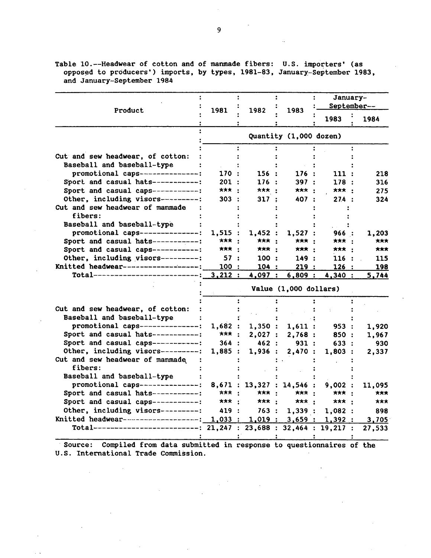| Product                                                             | 1981                  | 1982                      | 1983                   |                                                                                                                                                                                                   |        |  |  |  |  |
|---------------------------------------------------------------------|-----------------------|---------------------------|------------------------|---------------------------------------------------------------------------------------------------------------------------------------------------------------------------------------------------|--------|--|--|--|--|
|                                                                     |                       |                           |                        | 1983                                                                                                                                                                                              | 1984   |  |  |  |  |
|                                                                     |                       |                           | Quantity (1,000 dozen) | January-<br>September--<br>111 :<br>178:<br>*** :<br>27.4:<br>966 :<br>*** :<br>*** :<br>116 :<br>126:<br>4,340:<br>953 :<br>850 :<br>633:<br>1,803:<br>9,002:<br>*** :<br><b>***</b> :<br>1,082: |        |  |  |  |  |
|                                                                     |                       |                           |                        |                                                                                                                                                                                                   |        |  |  |  |  |
| Cut and sew headwear, of cotton:                                    |                       |                           |                        |                                                                                                                                                                                                   |        |  |  |  |  |
| Baseball and baseball-type                                          |                       |                           |                        |                                                                                                                                                                                                   |        |  |  |  |  |
| promotional caps---------------:                                    | 170 :                 | 156:                      | 176:                   |                                                                                                                                                                                                   | 218    |  |  |  |  |
| Sport and casual hats-----------:                                   | 201:                  | 176:                      | 397:                   |                                                                                                                                                                                                   | 316    |  |  |  |  |
| Sport and casual caps-----------:                                   | *** :                 | $\star\star\star$ :       | *** :                  |                                                                                                                                                                                                   | 275    |  |  |  |  |
| Other, including visors---------:                                   | 303 :                 | 317:                      | 407 :                  |                                                                                                                                                                                                   | 324    |  |  |  |  |
| Cut and sew headwear of manmade                                     |                       |                           |                        |                                                                                                                                                                                                   |        |  |  |  |  |
| fibers:                                                             |                       |                           |                        |                                                                                                                                                                                                   |        |  |  |  |  |
| Baseball and baseball-type                                          |                       |                           |                        |                                                                                                                                                                                                   |        |  |  |  |  |
| promotional caps---------------:                                    | 1,515:                | 1,452:                    | 1,527:                 |                                                                                                                                                                                                   | 1,203  |  |  |  |  |
| Sport and casual hats-----------:                                   | ***<br>$\cdot$        | *** :                     | *** :                  |                                                                                                                                                                                                   | ***    |  |  |  |  |
| Sport and casual caps-----------:                                   | <b>***</b> :          | *** :                     | *** :                  |                                                                                                                                                                                                   | ***    |  |  |  |  |
| Other, including visors----------:                                  | 57:                   | 100 :                     | 149:                   |                                                                                                                                                                                                   | 115    |  |  |  |  |
| Knitted headwear-------------------:                                | 100:                  | 104 :                     | 219:                   |                                                                                                                                                                                                   | 198    |  |  |  |  |
| Total---------------------------:                                   | 3,212:                | 4,097:                    | 6,809:                 |                                                                                                                                                                                                   | 5,744  |  |  |  |  |
|                                                                     | Value (1,000 dollars) |                           |                        |                                                                                                                                                                                                   |        |  |  |  |  |
|                                                                     |                       |                           |                        |                                                                                                                                                                                                   |        |  |  |  |  |
| Cut and sew headwear, of cotton:                                    |                       |                           |                        |                                                                                                                                                                                                   |        |  |  |  |  |
| Baseball and baseball-type                                          |                       |                           |                        |                                                                                                                                                                                                   |        |  |  |  |  |
| promotional caps---------------:                                    | 1,682:                | 1,350:                    | 1,611:                 |                                                                                                                                                                                                   | 1,920  |  |  |  |  |
| Sport and casual hats------------:                                  | <b>***</b> :          | 2,027:                    | 2,768:                 |                                                                                                                                                                                                   | 1,967  |  |  |  |  |
| Sport and casual caps------------:                                  | 364 :                 | 462:                      | 931:                   |                                                                                                                                                                                                   | 930    |  |  |  |  |
| Other, including visors---------:                                   | 1,885:                | 1,936:                    | 2,470:                 |                                                                                                                                                                                                   | 2,337  |  |  |  |  |
| Cut and sew headwear of manmade<br>fibers:                          |                       |                           |                        |                                                                                                                                                                                                   |        |  |  |  |  |
| Baseball and baseball-type                                          |                       |                           |                        |                                                                                                                                                                                                   |        |  |  |  |  |
| promotional caps---------------:                                    |                       | 8,671 : 13,327 : 14,546 : |                        |                                                                                                                                                                                                   | 11,095 |  |  |  |  |
| Sport and casual hats------------:                                  | ***                   | $***:$                    | *** :                  |                                                                                                                                                                                                   | ***    |  |  |  |  |
| Sport and casual caps------------:                                  | <b>***</b> :          | <b>***</b>                | <b>***</b> :           |                                                                                                                                                                                                   | ***    |  |  |  |  |
| Other, including visors---------:                                   | 419:                  | 763:                      | 1,339:                 |                                                                                                                                                                                                   | 898    |  |  |  |  |
| Knitted headwear--------------------:                               |                       |                           |                        | $1,033$ : $1,019$ : $3,659$ : $1,392$ :                                                                                                                                                           |        |  |  |  |  |
| Total-------------------------: 21,247 : 23,688 : 32,464 : 19,217 : |                       |                           |                        |                                                                                                                                                                                                   | 3,705  |  |  |  |  |
|                                                                     |                       |                           |                        |                                                                                                                                                                                                   | 27,533 |  |  |  |  |
|                                                                     |                       |                           |                        |                                                                                                                                                                                                   |        |  |  |  |  |

Table 10.--Headwear of cotton and of manmade fibers: U.S. importers' (as opposed to producers') imports, by types, 1981-83, January-September 1983, and January-September 1984

· Source: Compiled from data submitted in response to questionnaires of the U.S. International Trade Commission.

 $\frac{1}{2} \frac{1}{2} \frac{1}{2} \frac{1}{2}$ 

 $\sim$ 

 $\mathcal{L}^{\pm}$ 

 $\mathcal{L}_{\text{max}}$ 

 $\ddot{\phantom{0}}$ 

ü.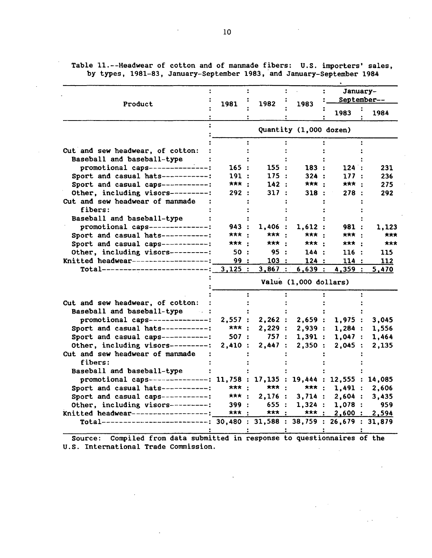|                                                                                                                      |                       | 1981               |                        | January-<br>September-- |               |  |  |  |
|----------------------------------------------------------------------------------------------------------------------|-----------------------|--------------------|------------------------|-------------------------|---------------|--|--|--|
| Product                                                                                                              |                       | 1982               | 1983                   | 1983                    | 1984          |  |  |  |
|                                                                                                                      |                       |                    | Quantity (1,000 dozen) |                         |               |  |  |  |
|                                                                                                                      |                       |                    |                        |                         |               |  |  |  |
| Cut and sew headwear, of cotton:                                                                                     |                       |                    |                        |                         |               |  |  |  |
| Baseball and baseball-type                                                                                           |                       |                    |                        |                         |               |  |  |  |
| promotional caps--------------:                                                                                      | 165:                  | 155 :              | 183:                   | 124:                    | 231           |  |  |  |
| Sport and casual hats-----------:                                                                                    | 191:                  | 175:               | 324:                   | 177:                    | 236           |  |  |  |
| Sport and casual caps-----------:                                                                                    | *** :                 | 142:               | *** :                  | <b>***</b> :            | 275           |  |  |  |
| Other, including visors---------:                                                                                    | 292:                  | 317:               | 318 :                  | 278:                    | 292           |  |  |  |
| Cut and sew headwear of manmade                                                                                      |                       |                    |                        |                         |               |  |  |  |
| fibers:                                                                                                              |                       |                    |                        |                         |               |  |  |  |
| Baseball and baseball-type                                                                                           |                       |                    |                        |                         |               |  |  |  |
| promotional caps---------------:                                                                                     | 943 :                 | $1,406$ :          | 1,612:                 | 981 :                   | 1,123         |  |  |  |
| Sport and casual hats------------:                                                                                   | *** :                 | *** :              | <b>***</b> :           | <b>***</b> :            | ***           |  |  |  |
| Sport and casual caps------------:                                                                                   | *** :                 | *** :              | *** :                  | <b>***</b> :            | ***           |  |  |  |
| Other, including visors---------:                                                                                    | 50 :                  | 95:                | 144:                   | 116:                    | 115           |  |  |  |
| Knitted headwear-------------------:                                                                                 | 99 :                  | 103:               | 124:                   | 114:                    | 112           |  |  |  |
| Total--------------------------------                                                                                | 3,125:                | 3,867:             | 6,639:                 | 4,359 :                 | 5,470         |  |  |  |
|                                                                                                                      | Value (1,000 dollars) |                    |                        |                         |               |  |  |  |
|                                                                                                                      |                       |                    |                        |                         |               |  |  |  |
| Cut and sew headwear, of cotton:                                                                                     |                       |                    |                        |                         |               |  |  |  |
| Baseball and baseball-type :                                                                                         |                       |                    |                        |                         |               |  |  |  |
| promotional caps---------------:                                                                                     | 2,557:                | 2,262:             | 2,659:                 | 1,975:                  | 3,045         |  |  |  |
| Sport and casual hats-----------:                                                                                    | <b>***</b> :          | 2,229:             | 2,939:                 | 1,284:                  | 1,556         |  |  |  |
| Sport and casual caps-----------:                                                                                    | 507 :                 | 757 :              | 1,391:                 | 1,047:                  | 1,464         |  |  |  |
| Other, including visors---------:                                                                                    | 2,410:                | 2,447:             | 2,350:                 | 2,045:                  | 2,135         |  |  |  |
| Cut and sew headwear of manmade<br>fibers:                                                                           |                       |                    |                        |                         |               |  |  |  |
| Baseball and baseball-type                                                                                           |                       |                    |                        |                         |               |  |  |  |
| promotional caps--------------: 11,758 : 17,135 : 19,444 : 12,555 : 14,085                                           |                       |                    |                        |                         |               |  |  |  |
| Sport and casual hats-----------:                                                                                    | ***                   | $***:$             | <b>***</b> :           |                         |               |  |  |  |
|                                                                                                                      |                       |                    |                        | 1,491:                  | 2,606         |  |  |  |
| Sport and casual caps-----------:                                                                                    | <b>***</b> :          | 2,176:             | 3,714:                 | 2,604:                  | 3,435         |  |  |  |
| Other, including visors----------:                                                                                   | 399:<br>*** :         | 655:<br><b>***</b> | 1,324:<br><b>***</b> : | 1,078:                  | 959           |  |  |  |
| Knitted headwear-------------------;<br>Total---------------------------: 30,480 : 31,588 : 38,759 : 26,679 : 31,879 |                       |                    |                        |                         | 2,600 : 2,594 |  |  |  |
|                                                                                                                      |                       |                    |                        |                         |               |  |  |  |

Table 11.--Headwear of cotton and of manmade fibers: U.S. importers' sales, by types, 1981-83, January-September 1983, and January-September 1984

Source: Compiled from data submitted in response to questionnaires of the U.S. International Trade Commission.  $\sim$  $\bar{z}$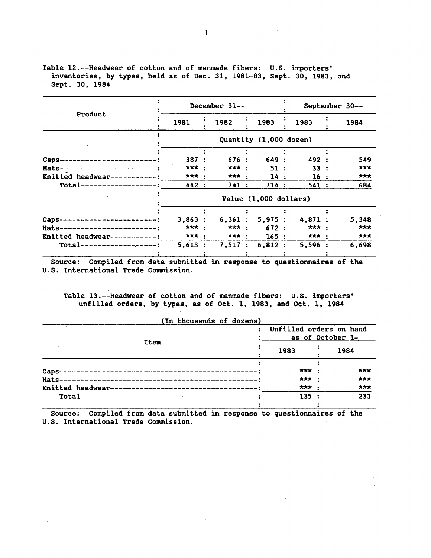|                                     |                        | December $31--$ |        |  | September 30-- |  |       |  |  |  |  |
|-------------------------------------|------------------------|-----------------|--------|--|----------------|--|-------|--|--|--|--|
| Product                             | 1981                   | 1982            | 1983   |  | 1983           |  | 1984  |  |  |  |  |
|                                     | Quantity (1,000 dozen) |                 |        |  |                |  |       |  |  |  |  |
|                                     |                        |                 |        |  |                |  |       |  |  |  |  |
| Caps-<br>-------------------------- | 387:                   | 676:            | 649:   |  | 492 :          |  | 549   |  |  |  |  |
| Hats-------------------------:      | *** :                  | ***             | 51:    |  | 33:            |  | ***   |  |  |  |  |
| Knitted headwear------------:       | <b>***</b> :           | *** :           | 14:    |  | 16:            |  | ***   |  |  |  |  |
| $Total----------$                   | 442 :                  | 741:            | 714:   |  | 541:           |  | 684   |  |  |  |  |
|                                     | Value (1,000 dollars)  |                 |        |  |                |  |       |  |  |  |  |
|                                     |                        |                 |        |  |                |  |       |  |  |  |  |
| Caps--------------------------      | 3,863:                 | 6,361:          | 5,975: |  | 4,871:         |  | 5,348 |  |  |  |  |
| Hats------------------------:       | <b>***</b>             | <b>***</b> :    | 672:   |  | *** :          |  | ***   |  |  |  |  |
| Knitted headwear-----------:        | *** :                  | <b>***</b> :    | 165:   |  | *** :          |  | ***   |  |  |  |  |
| $Total-----$                        | 5,613:                 | 7,517:          | 6,812: |  | 5,596:         |  | 6,698 |  |  |  |  |
|                                     |                        |                 |        |  |                |  |       |  |  |  |  |

Table 12.--Headwear of cotton and of manmade fibers: U.S. importers' inventories, by types, held as of Dec. 31, 1981-83, Sept. 30, 1983, and Sept. 30, 1984

Source: Compiled from data submitted in response to questionnaires of the U.S. International Trade Commission.

Table 13.--Headwear of cotton and of manmade fibers: U.S. importers' unfilled orders, by types, as of Oct. 1, 1983, and Oct. 1, 1984

| (In thousands of dozens) |       |                                             |
|--------------------------|-------|---------------------------------------------|
| Item                     |       | Unfilled orders on hand<br>as of October 1- |
|                          | 1983  | 1984                                        |
|                          | ***   | ***                                         |
|                          | 大大大   | ***                                         |
|                          | ***   | ***                                         |
|                          | 135 : | 233                                         |

Source: Compiled from data submitted in response to questionnaires of the U.S. International Trade Commission.

(In thousands of dozens)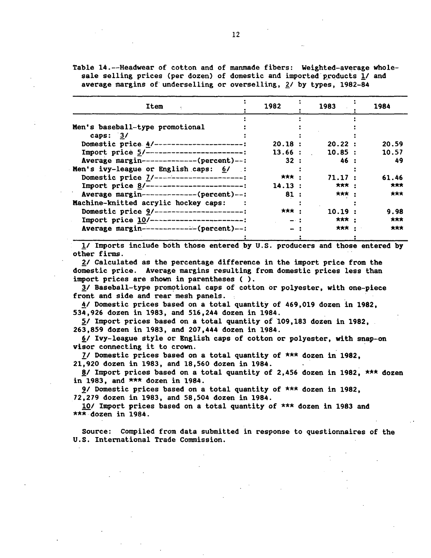Table 14.--Headwear of cotton and of manmade fibers: Weighted-average wholesale selling prices (per dozen) of domestic and imported products 1/ and average margins of underselling or overselling, *ZI* by types, 1982-84

| Item                                      | 1982         | 1983         | 1984  |
|-------------------------------------------|--------------|--------------|-------|
|                                           |              |              |       |
| Men's baseball-type promotional           |              |              |       |
| caps: $3/$                                |              |              |       |
| Domestic price 4/---------------------:   | 20.18:       | 20.22 :      | 20.59 |
| Import price 5/------------------------:  | 13.66:       | 10.85:       | 10.57 |
| Average margin--------------(percent)--:  | 32:          | 46 :         | 49    |
| Men's ivy-league or English caps: 6/ :    |              |              |       |
| Domestic price 7/-----------------------: | <b>***</b> : | 71.17:       | 61.46 |
| Import price 8/-------------------------: | 14.13:       | <b>***</b> : | ***   |
| Average margin--------------(percent)--:  | 81:          | *** :        | ***   |
| Machine-knitted acrylic hockey caps:      |              |              |       |
| Domestic price 9/----------------------:  | *** :        | 10.19:       | 9.98  |
| Import price 10/-----------------------   | $-1$         | *** :        | ***   |
| Average margin--------------(percent)--:  | $-1$         | <b>***</b> : | ***   |
|                                           |              |              |       |

!I Imports include both those entered by U.S. producers and those entered by other firms.

2/ Calculated as the percentage difference in the import price from the domestic price. Average margins resulting from domestic prices less than import prices are shown in parentheses ( ).

 $2/$  Baseball-type promotional caps of cotton or polyester, with one-piece front and side and rear mesh panels.

!I Domestic prices based on a total quantity of 469,019 dozen in 1982, 534,926 dozen in 1983, and 516,244 dozen in 1984.

 $5/$  Import prices based on a total quantity of 109,183 dozen in 1982, 263,859 dozen in 1983, and 207,444 dozen in 1984.

6/ Ivy-league style or English caps of cotton or polyester, with snap-on visor connecting it to crown.

7/ Domestic prices based on a total quantity of  $***$  dozen in 1982, 21,920 dozen in 1983, and 18,560 dozen in 1984.

 $8/$  Import prices based on a total quantity of 2,456 dozen in 1982, \*\*\* dozen in 1983, and \*\*\* dozen in 1984.

9/ Domestic prices based on a total quantity of  $***$  dozen in 1982, 72,279 dozen in 1983, and 58,504 dozen in 1984.

10/ Import prices based on a total quantity of \*\*\* dozen in 1983 and \*\*\*·dozen in 1984.

Source: Compiled from data submitted in response to questionnaires of the U.S. International Trade Commission.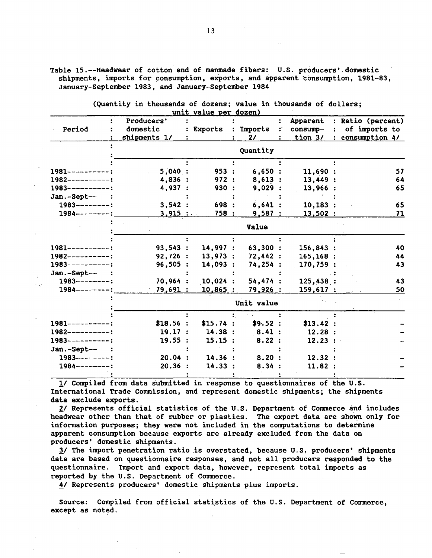Table 15.--Headwear of cotton and of manmade fibers: U.S. producers' domestic shipments, imports for consumption, exports, and apparent consumption, 1981-83, January-September 1983, and January-September 1984 ·

|                     |              | unit value per dozen) |            |                                        |           |                   |
|---------------------|--------------|-----------------------|------------|----------------------------------------|-----------|-------------------|
|                     | Producers'   |                       |            |                                        | Apparent  | : Ratio (percent) |
| Period              | domestic     | Exports               | Imports    | $\mathcal{O}(\mathcal{O}_\mathcal{O})$ | consump-  | of imports to     |
|                     | shipments 1/ |                       | 21         |                                        | tion 3/   | : consumption 4/  |
|                     |              |                       | Quantity   |                                        |           |                   |
|                     |              |                       |            |                                        |           |                   |
| $1981$ -----------: | 5,040:       | 953:                  | 6,650:     |                                        | 11,690:   | 57                |
| $1982$ ----------:  | 4,836:       | 972:                  | 8,613:     |                                        | 13,449:   | 64                |
| $1983$ ----------:  | 4,937:       | 930:                  | 9,029:     |                                        | 13,966:   | 65                |
| Jan.-Sept--         |              |                       |            |                                        |           |                   |
| $1983$ --------:    | 3,542:       | 698 :                 | 6,641:     |                                        | 10, 183:  | 65                |
| $1984$ --------:    | 3,915:       | 758:                  | 9,587:     |                                        | 13,502:   | 71                |
|                     |              |                       | Value      |                                        |           |                   |
|                     |              |                       |            |                                        |           |                   |
| $1981$ ----------:  | 93,543:      | 14,997:               | 63,300 :   |                                        | 156,843:  | 40                |
| $1982$ -----------: | 92,726:      | 13,973:               | 72,442:    |                                        | 165, 168: | 44                |
| $1983$ ----------:  | 96,505:      | 14,093:               | 74,254:    |                                        | 170,759:  | 43                |
| Jan.-Sept-- :       |              |                       |            |                                        |           |                   |
| $1983$ --------:    | 70,964:      | 10,024:               | 54,474:    |                                        | 125,438:  | 43                |
| $1984$ --------:    | 79,691:      | 10,865                | 79,926:    |                                        | 159,617:  | 50                |
|                     |              |                       | Unit value |                                        |           |                   |
|                     |              |                       |            |                                        |           |                   |
| $1981$ ----------:  | \$18.56:     | \$15.74 :             | \$9.52 :   |                                        | \$13.42:  |                   |
| $1982$ ----------:  | 19.17:       | 14.38:                | 8.41:      |                                        | 12.28:    |                   |
| $1983$ ----------:  | 19.55:       | 15.15:                | 8.22:      |                                        | 12.23:    |                   |
| Jan.-Sept-- :       |              |                       |            |                                        |           |                   |
| $1983$ --------:    | 20.04:       | 14.36:                | 8.20       |                                        | 12.32     |                   |
| $1984$ --------:    | 20.36:       | 14.33:                | 8.34:      |                                        | 11.82:    |                   |
|                     |              |                       |            |                                        |           |                   |

(Quantity in thousands of dozens; value in thousands of dollars;

!I Compiled from data submitted in response to questionnaires of the U.S. International Trade Commission, and represent domestic shipments; the shipments data exclude exports.

*£1* Represents official statistics of the U.S. Department of Commerce and includes headwear other than that of rubber or plastics. The export data are shown only for information purposes; they were not included in the computations to determine apparent consumption because exports are already excluded from the data on producers' domestic shipments.

1/ The import penetration ratio is overstated, because U.S. producers' shipments data are based on questionnaire responses, and not all producers responded to the questionnaire. Import and export data, however, represent total imports as reported by the U.S. Department of Commerce.

A/ Represents producers' domestic shipments plus imports.

 $\mathbb{R}^3$  $\mathcal{L}_{\mathcal{A}}$ 

> Source: Compiled from official statistics of the U.S. Department of Commerce, except as noted.

13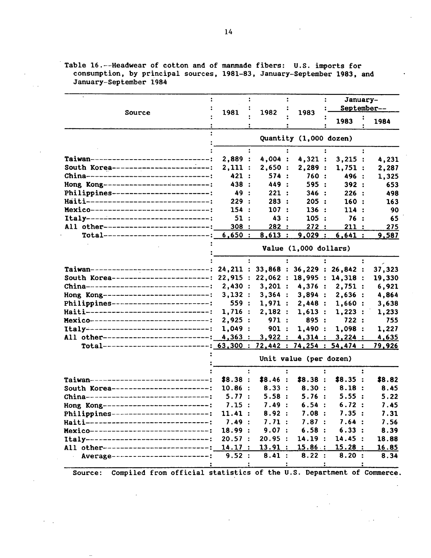|                                                                  |                                            |      |                            |      |                        | January-<br>September-- |                         |  |                      |
|------------------------------------------------------------------|--------------------------------------------|------|----------------------------|------|------------------------|-------------------------|-------------------------|--|----------------------|
| Source                                                           | 1981<br>1982                               | 1983 |                            | 1983 |                        | 1984                    |                         |  |                      |
|                                                                  |                                            |      |                            |      | Quantity (1,000 dozen) |                         |                         |  |                      |
| Taiwan------------------------------;                            | 2,889:                                     |      | 4,004:                     |      | 4,321 :                |                         | 3,215:                  |  | 4,231                |
| South Korea ------------------------                             | 2,111:                                     |      | 2,650:                     |      | 2,289:                 |                         | 1,751:                  |  | 2,287                |
| China-------------------------------                             | 421:                                       |      | 574:                       |      | 760 :                  |                         | 496 :                   |  | 1,325                |
| Hong Kong---------------------------                             | 438 :                                      |      | 449 :                      |      | 595 :                  |                         | 392:                    |  | 653                  |
| Philippines-------------------------                             | 49 :                                       |      | 221:                       |      | 346:                   |                         | 226:                    |  | 498                  |
| Haiti-------------------------------                             | 229:                                       |      | 283:                       |      | 205:                   |                         | 160:                    |  | 163                  |
| Hexico------------------------------                             | 154:                                       |      | 107:                       |      | 136:                   |                         | 114:                    |  | 90                   |
| Italy-------------------------------                             | 51:                                        |      | 43 :                       |      | 105:                   |                         | 76:                     |  | 65                   |
| All other---------------------------                             | 308:                                       |      | 282:                       |      | 272:                   |                         | 211:                    |  | 275                  |
| $Total$ -----------------------------                            | 6,650:                                     |      | 8,613:                     |      | 9,029:                 |                         | 6,641:                  |  | 9,587                |
|                                                                  | Value (1,000 dollars)                      |      |                            |      |                        |                         |                         |  |                      |
|                                                                  |                                            |      |                            |      |                        |                         |                         |  |                      |
| Taiwan------------------------------: 24,211 :                   |                                            |      | 33,868 : 36,229 : 26,842 : |      |                        |                         |                         |  | 37,323               |
| South Korea-----------------------: 22,915 :                     |                                            |      | 22,062 : 18,995 : 14,318 : |      |                        |                         |                         |  | 19,330               |
| China--------------------------------                            | 2,430:                                     |      |                            |      |                        |                         | 3,201 : 4,376 : 2,751 : |  | 6,921                |
| Hong Kong---------------------------:                            | 3,132:                                     |      | 3,364:                     |      | 3,894:                 |                         | 2,636:                  |  | 4,864                |
| Philippines-------------------------:                            | 559 :                                      |      | 1,971:                     |      | 2,448:                 |                         | 1,660:                  |  | 3,638                |
| Haiti-------------------------------                             | 1,716:                                     |      | 2,182:                     |      | 1,613:                 |                         | 1,223:                  |  | 1,233                |
| Hexico------------------------------                             | 2,925:                                     |      | 971:                       |      | 895 :                  |                         | 722:                    |  | 755                  |
| Italy-------------------------------                             | 1,049:                                     |      | 901:                       |      | 1,490:                 |                         | 1,098:                  |  | 1,227                |
| All other--------------------------: 4,363:                      |                                            |      | 3,922:                     |      | 4,314:                 |                         | 3,224:                  |  | 4,635                |
| Total--------------------------: 63,300: 72,442: 74,254: 54,474: |                                            |      |                            |      |                        |                         |                         |  | <u>79,926</u>        |
|                                                                  | Unit value (per dozen)                     |      |                            |      |                        |                         |                         |  |                      |
|                                                                  |                                            |      |                            |      |                        |                         |                         |  |                      |
| Taiwan------------------------------                             | \$8.38:                                    |      | \$8.46:                    |      | \$8.38:                |                         | \$8.35:                 |  | \$8.82               |
| South Korea-------------------------                             | 10.86:                                     |      | 8.33:                      |      | 8.30:                  |                         | 8.18:                   |  | 8.45                 |
| China-------------------------------                             | 5.77:                                      |      | 5.58:                      |      | 5.76:                  |                         | 5.55:                   |  | 5.22                 |
| Hong Kong---------------------------:                            | 7.15:                                      |      | 7.49:                      |      | 6.54:                  |                         | 6.72:                   |  | 7.45                 |
| Philippines-------------------------:                            | 11.41:                                     |      | 8.92:                      |      | 7.08:                  |                         | 7.35:                   |  | 7.31                 |
| Haiti--------------------------------                            | 7.49:                                      |      | 7.71:                      |      | 7.87:                  |                         | 7.64:                   |  | 7.56                 |
| Hexico-----------------------------:                             | 18.99:                                     |      | 9.07:                      |      | 6.58:                  |                         | 6.33:                   |  | 8.39                 |
| Italy--------------------------------:                           | 20.57:                                     |      | 20.95:                     |      | 14.19:                 |                         | 14.45:                  |  | 18.88                |
| All other--------------------------: 14.17 :                     | Average--------------------------<br>9.52: |      | 13.91:<br>8.41:            |      | 15.86:<br>8.22:        |                         | 15.28:<br>8.20:         |  | <u>16.85</u><br>8.34 |

Table 16.--Headwear of cotton and of manmade fibers: U.S. imports for consumption, by principal sources, 1981-83, January-September 1983, and January-September 1984

Source: Compiled from official statistics of the U.S. Department of Commerce.

 $\bar{z}$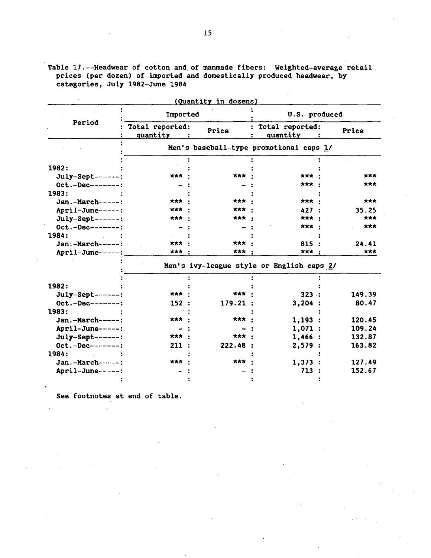|                   |                             | <u>(Quantity in dozens)</u>               |                             |        |
|-------------------|-----------------------------|-------------------------------------------|-----------------------------|--------|
|                   | Imported                    |                                           | U.S. produced               |        |
| Period            | Total reported:<br>quantity | Price                                     | Total reported:<br>quantity | Price  |
|                   |                             | Men's baseball-type promotional caps 1/   |                             |        |
| 1982:             |                             |                                           |                             |        |
|                   | ★★★ ・                       | *** ·                                     | *** ·                       | ***    |
| July-Sept------:  |                             |                                           | *** ·                       | ***    |
| $Oct.-Dec------:$ |                             |                                           |                             |        |
| 1983:             |                             |                                           |                             |        |
| $Jan.-March---:$  | *** ·                       | *** ·                                     | *** :                       | ***    |
| April-June-----:  | ***                         | *** *                                     | 427:                        | 35.25  |
| July-Sept------:  | ***                         | ***                                       | *** :                       | ***    |
| $Oct.-Dec-----:$  |                             |                                           | ***                         | ***    |
| 1984:             |                             |                                           |                             |        |
| Jan.-March-----:  | ***                         | *** *                                     | 815:                        | 24.41  |
| April-June-----:  | *** ·                       | ***                                       | ***                         | ***    |
|                   |                             | Men's ivy-league style or English caps 2/ |                             |        |
|                   |                             |                                           |                             |        |
| 1982:             |                             |                                           |                             |        |
| July-Sept------:  | . *** .                     | ***                                       | 323:                        | 149.39 |
| $Oct.-Dec------:$ | 152:                        | 179.21:                                   | 3,204:                      | 80.47  |
| 1983:             |                             |                                           |                             |        |
| Jan.-March-----:  | *** :                       | *** ·                                     | 1,193:                      | 120.45 |
| April-June-----:  |                             |                                           | 1,071:                      | 109.24 |
| $July-Sept-----:$ | *** :                       | *** *                                     | 1,466:                      | 132.87 |
| $Oct.-Dec------:$ | 211:                        | 222.48:                                   | 2,579:                      | 163.82 |
| 1984:             |                             |                                           |                             |        |
| $Jan.-March---:$  | *** :                       | ***                                       | 1,373:                      | 127.49 |
| April-June-----:  |                             |                                           | 713:                        | 152.67 |
|                   |                             |                                           |                             |        |

Table 17.--Headwear of cotton and of manmade fibers: Weighted-average retail prices (per dozen) of imported and domestically produced headwear, by categories, July 1982-June 1984

See footnotes at end of table.